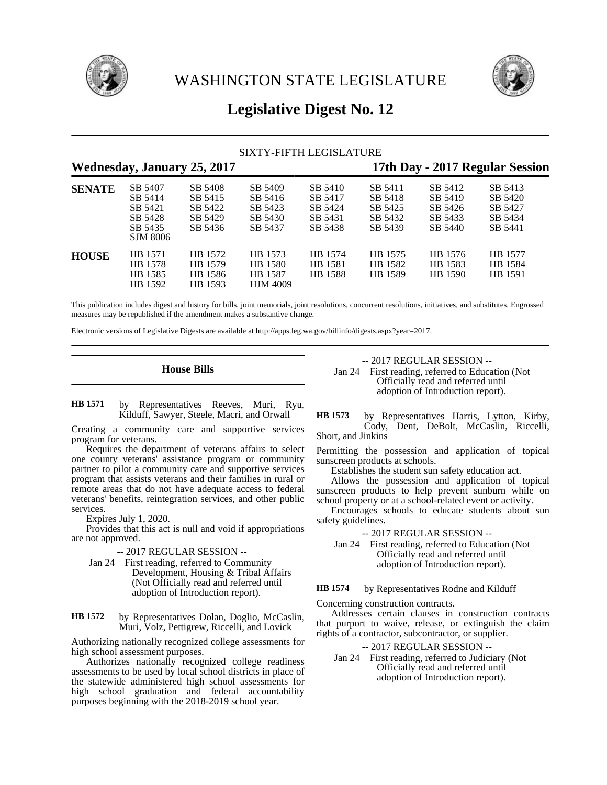

WASHINGTON STATE LEGISLATURE



# **Legislative Digest No. 12**

| <b>SIXTY-FIFTH LEGISLATURE</b>     |                                                                        |                                                     |                                                     |                                                     |                                                     |                                                     |                                                     |  |
|------------------------------------|------------------------------------------------------------------------|-----------------------------------------------------|-----------------------------------------------------|-----------------------------------------------------|-----------------------------------------------------|-----------------------------------------------------|-----------------------------------------------------|--|
| <b>Wednesday, January 25, 2017</b> |                                                                        |                                                     |                                                     |                                                     | 17th Day - 2017 Regular Session                     |                                                     |                                                     |  |
| <b>SENATE</b>                      | SB 5407<br>SB 5414<br>SB 5421<br>SB 5428<br>SB 5435<br><b>SJM 8006</b> | SB 5408<br>SB 5415<br>SB 5422<br>SB 5429<br>SB 5436 | SB 5409<br>SB 5416<br>SB 5423<br>SB 5430<br>SB 5437 | SB 5410<br>SB 5417<br>SB 5424<br>SB 5431<br>SB 5438 | SB 5411<br>SB 5418<br>SB 5425<br>SB 5432<br>SB 5439 | SB 5412<br>SB 5419<br>SB 5426<br>SB 5433<br>SB 5440 | SB 5413<br>SB 5420<br>SB 5427<br>SB 5434<br>SB 5441 |  |
| <b>HOUSE</b>                       | HB 1571<br>HB 1578<br>HB 1585<br>HB 1592                               | HB 1572<br>HB 1579<br>HB 1586<br>HB 1593            | HB 1573<br>HB 1580<br>HB 1587<br><b>HJM 4009</b>    | HB 1574<br>HB 1581<br>HB 1588                       | HB 1575<br>HB 1582<br>HB 1589                       | HB 1576<br>HB 1583<br>HB 1590                       | HB 1577<br>HB 1584<br>HB 1591                       |  |

This publication includes digest and history for bills, joint memorials, joint resolutions, concurrent resolutions, initiatives, and substitutes. Engrossed measures may be republished if the amendment makes a substantive change.

Electronic versions of Legislative Digests are available at http://apps.leg.wa.gov/billinfo/digests.aspx?year=2017.

## **House Bills**

by Representatives Reeves, Muri, Ryu, Kilduff, Sawyer, Steele, Macri, and Orwall **HB 1571**

Creating a community care and supportive services program for veterans.

Requires the department of veterans affairs to select one county veterans' assistance program or community partner to pilot a community care and supportive services program that assists veterans and their families in rural or remote areas that do not have adequate access to federal veterans' benefits, reintegration services, and other public services.

Expires July 1, 2020.

Provides that this act is null and void if appropriations are not approved.

- -- 2017 REGULAR SESSION --
- Jan 24 First reading, referred to Community Development, Housing & Tribal Affairs (Not Officially read and referred until adoption of Introduction report).

by Representatives Dolan, Doglio, McCaslin, Muri, Volz, Pettigrew, Riccelli, and Lovick **HB 1572**

Authorizing nationally recognized college assessments for high school assessment purposes.

Authorizes nationally recognized college readiness assessments to be used by local school districts in place of the statewide administered high school assessments for high school graduation and federal accountability purposes beginning with the 2018-2019 school year.

-- 2017 REGULAR SESSION --

Jan 24 First reading, referred to Education (Not Officially read and referred until adoption of Introduction report).

by Representatives Harris, Lytton, Kirby, Cody, Dent, DeBolt, McCaslin, Riccelli, Short, and Jinkins **HB 1573**

Permitting the possession and application of topical sunscreen products at schools.

Establishes the student sun safety education act.

Allows the possession and application of topical sunscreen products to help prevent sunburn while on school property or at a school-related event or activity.

Encourages schools to educate students about sun safety guidelines.

-- 2017 REGULAR SESSION --

Jan 24 First reading, referred to Education (Not Officially read and referred until adoption of Introduction report).

by Representatives Rodne and Kilduff **HB 1574**

Concerning construction contracts.

Addresses certain clauses in construction contracts that purport to waive, release, or extinguish the claim rights of a contractor, subcontractor, or supplier.

-- 2017 REGULAR SESSION --

Jan 24 First reading, referred to Judiciary (Not Officially read and referred until adoption of Introduction report).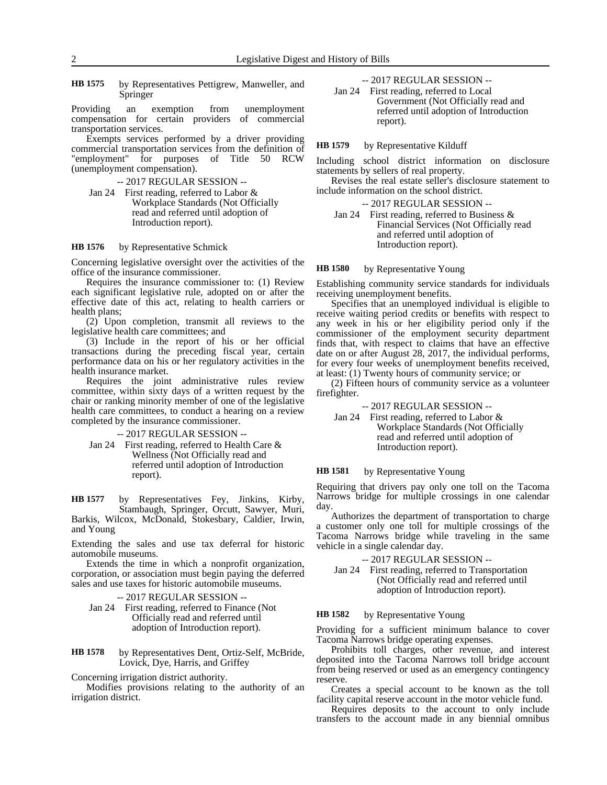by Representatives Pettigrew, Manweller, and Springer **HB 1575**

Providing an exemption from unemployment compensation for certain providers of commercial transportation services.

Exempts services performed by a driver providing commercial transportation services from the definition of "employment" for purposes of Title 50 RCW (unemployment compensation).

- -- 2017 REGULAR SESSION --
- Jan 24 First reading, referred to Labor & Workplace Standards (Not Officially read and referred until adoption of Introduction report).

#### by Representative Schmick **HB 1576**

Concerning legislative oversight over the activities of the office of the insurance commissioner.

Requires the insurance commissioner to: (1) Review each significant legislative rule, adopted on or after the effective date of this act, relating to health carriers or health plans;

(2) Upon completion, transmit all reviews to the legislative health care committees; and

(3) Include in the report of his or her official transactions during the preceding fiscal year, certain performance data on his or her regulatory activities in the health insurance market.

Requires the joint administrative rules review committee, within sixty days of a written request by the chair or ranking minority member of one of the legislative health care committees, to conduct a hearing on a review completed by the insurance commissioner.

-- 2017 REGULAR SESSION --

Jan 24 First reading, referred to Health Care & Wellness (Not Officially read and referred until adoption of Introduction report).

by Representatives Fey, Jinkins, Kirby, Stambaugh, Springer, Orcutt, Sawyer, Muri, Barkis, Wilcox, McDonald, Stokesbary, Caldier, Irwin, and Young **HB 1577**

Extending the sales and use tax deferral for historic automobile museums.

Extends the time in which a nonprofit organization, corporation, or association must begin paying the deferred sales and use taxes for historic automobile museums.

- -- 2017 REGULAR SESSION --
- Jan 24 First reading, referred to Finance (Not Officially read and referred until adoption of Introduction report).
- by Representatives Dent, Ortiz-Self, McBride, Lovick, Dye, Harris, and Griffey **HB 1578**

Concerning irrigation district authority.

Modifies provisions relating to the authority of an irrigation district.

-- 2017 REGULAR SESSION --

Jan 24 First reading, referred to Local Government (Not Officially read and referred until adoption of Introduction report).

#### by Representative Kilduff **HB 1579**

Including school district information on disclosure statements by sellers of real property.

Revises the real estate seller's disclosure statement to include information on the school district.

-- 2017 REGULAR SESSION --

Jan 24 First reading, referred to Business & Financial Services (Not Officially read and referred until adoption of Introduction report).

#### by Representative Young **HB 1580**

Establishing community service standards for individuals receiving unemployment benefits.

Specifies that an unemployed individual is eligible to receive waiting period credits or benefits with respect to any week in his or her eligibility period only if the commissioner of the employment security department finds that, with respect to claims that have an effective date on or after August 28, 2017, the individual performs, for every four weeks of unemployment benefits received, at least: (1) Twenty hours of community service; or

(2) Fifteen hours of community service as a volunteer firefighter.

-- 2017 REGULAR SESSION --

Jan 24 First reading, referred to Labor & Workplace Standards (Not Officially read and referred until adoption of Introduction report).

#### by Representative Young **HB 1581**

Requiring that drivers pay only one toll on the Tacoma Narrows bridge for multiple crossings in one calendar day.

Authorizes the department of transportation to charge a customer only one toll for multiple crossings of the Tacoma Narrows bridge while traveling in the same vehicle in a single calendar day.

-- 2017 REGULAR SESSION --

Jan 24 First reading, referred to Transportation (Not Officially read and referred until adoption of Introduction report).

#### by Representative Young **HB 1582**

Providing for a sufficient minimum balance to cover Tacoma Narrows bridge operating expenses.

Prohibits toll charges, other revenue, and interest deposited into the Tacoma Narrows toll bridge account from being reserved or used as an emergency contingency reserve.

Creates a special account to be known as the toll facility capital reserve account in the motor vehicle fund.

Requires deposits to the account to only include transfers to the account made in any biennial omnibus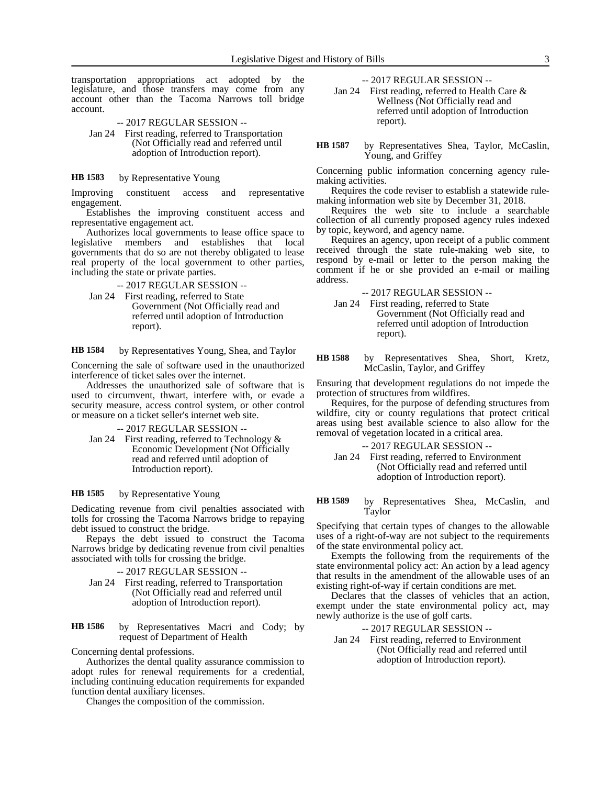transportation appropriations act adopted by the legislature, and those transfers may come from any account other than the Tacoma Narrows toll bridge account.

- -- 2017 REGULAR SESSION --
- Jan 24 First reading, referred to Transportation (Not Officially read and referred until adoption of Introduction report).

#### by Representative Young **HB 1583**

Improving constituent access and representative engagement.

Establishes the improving constituent access and representative engagement act.

Authorizes local governments to lease office space to legislative members and establishes that local governments that do so are not thereby obligated to lease real property of the local government to other parties, including the state or private parties.

-- 2017 REGULAR SESSION --

Jan 24 First reading, referred to State Government (Not Officially read and referred until adoption of Introduction report).

by Representatives Young, Shea, and Taylor **HB 1584**

Concerning the sale of software used in the unauthorized interference of ticket sales over the internet.

Addresses the unauthorized sale of software that is used to circumvent, thwart, interfere with, or evade a security measure, access control system, or other control or measure on a ticket seller's internet web site.

-- 2017 REGULAR SESSION --

Jan 24 First reading, referred to Technology & Economic Development (Not Officially read and referred until adoption of Introduction report).

#### by Representative Young **HB 1585**

Dedicating revenue from civil penalties associated with tolls for crossing the Tacoma Narrows bridge to repaying debt issued to construct the bridge.

Repays the debt issued to construct the Tacoma Narrows bridge by dedicating revenue from civil penalties associated with tolls for crossing the bridge.

- -- 2017 REGULAR SESSION --
- Jan 24 First reading, referred to Transportation (Not Officially read and referred until adoption of Introduction report).

by Representatives Macri and Cody; by request of Department of Health **HB 1586**

Concerning dental professions.

Authorizes the dental quality assurance commission to adopt rules for renewal requirements for a credential, including continuing education requirements for expanded function dental auxiliary licenses.

Changes the composition of the commission.

-- 2017 REGULAR SESSION --

- Jan 24 First reading, referred to Health Care & Wellness (Not Officially read and referred until adoption of Introduction report).
- by Representatives Shea, Taylor, McCaslin, Young, and Griffey **HB 1587**

Concerning public information concerning agency rulemaking activities.

Requires the code reviser to establish a statewide rulemaking information web site by December 31, 2018.

Requires the web site to include a searchable collection of all currently proposed agency rules indexed by topic, keyword, and agency name.

Requires an agency, upon receipt of a public comment received through the state rule-making web site, to respond by e-mail or letter to the person making the comment if he or she provided an e-mail or mailing address.

-- 2017 REGULAR SESSION --

Jan 24 First reading, referred to State Government (Not Officially read and referred until adoption of Introduction report).

by Representatives Shea, Short, Kretz, McCaslin, Taylor, and Griffey **HB 1588**

Ensuring that development regulations do not impede the protection of structures from wildfires.

Requires, for the purpose of defending structures from wildfire, city or county regulations that protect critical areas using best available science to also allow for the removal of vegetation located in a critical area.

-- 2017 REGULAR SESSION --

Jan 24 First reading, referred to Environment (Not Officially read and referred until adoption of Introduction report).

by Representatives Shea, McCaslin, and Taylor **HB 1589**

Specifying that certain types of changes to the allowable uses of a right-of-way are not subject to the requirements of the state environmental policy act.

Exempts the following from the requirements of the state environmental policy act: An action by a lead agency that results in the amendment of the allowable uses of an existing right-of-way if certain conditions are met.

Declares that the classes of vehicles that an action, exempt under the state environmental policy act, may newly authorize is the use of golf carts.

-- 2017 REGULAR SESSION --

Jan 24 First reading, referred to Environment (Not Officially read and referred until adoption of Introduction report).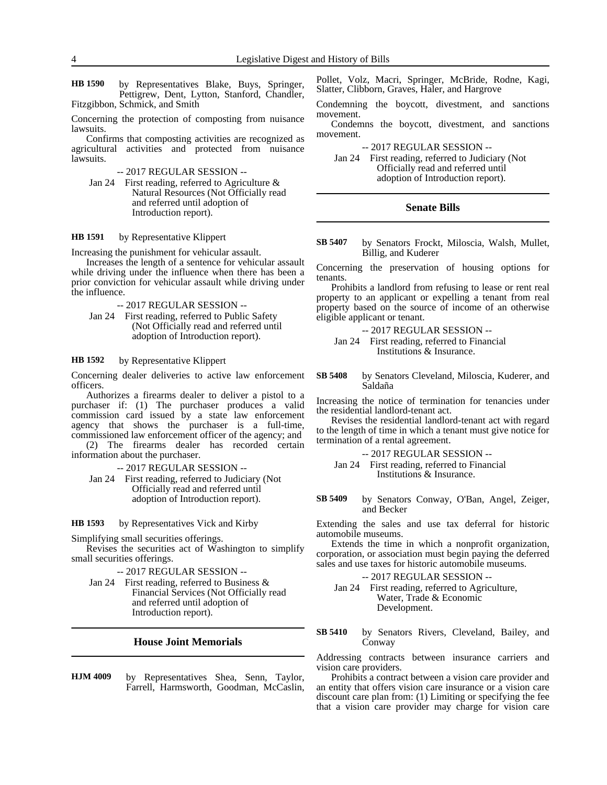by Representatives Blake, Buys, Springer, Pettigrew, Dent, Lytton, Stanford, Chandler, Fitzgibbon, Schmick, and Smith **HB 1590**

Concerning the protection of composting from nuisance lawsuits.

Confirms that composting activities are recognized as agricultural activities and protected from nuisance lawsuits.

-- 2017 REGULAR SESSION --

Jan 24 First reading, referred to Agriculture & Natural Resources (Not Officially read and referred until adoption of Introduction report).

#### by Representative Klippert **HB 1591**

Increasing the punishment for vehicular assault.

Increases the length of a sentence for vehicular assault while driving under the influence when there has been a prior conviction for vehicular assault while driving under the influence.

- -- 2017 REGULAR SESSION --
- Jan 24 First reading, referred to Public Safety (Not Officially read and referred until adoption of Introduction report).

#### by Representative Klippert **HB 1592**

Concerning dealer deliveries to active law enforcement officers.

Authorizes a firearms dealer to deliver a pistol to a purchaser if: (1) The purchaser produces a valid commission card issued by a state law enforcement agency that shows the purchaser is a full-time, commissioned law enforcement officer of the agency; and

(2) The firearms dealer has recorded certain information about the purchaser.

-- 2017 REGULAR SESSION --

Jan 24 First reading, referred to Judiciary (Not Officially read and referred until adoption of Introduction report).

by Representatives Vick and Kirby **HB 1593**

Simplifying small securities offerings.

Revises the securities act of Washington to simplify small securities offerings.

-- 2017 REGULAR SESSION --

Jan 24 First reading, referred to Business & Financial Services (Not Officially read and referred until adoption of Introduction report).

### **House Joint Memorials**

by Representatives Shea, Senn, Taylor, Farrell, Harmsworth, Goodman, McCaslin, **HJM 4009**

Pollet, Volz, Macri, Springer, McBride, Rodne, Kagi, Slatter, Clibborn, Graves, Haler, and Hargrove

Condemning the boycott, divestment, and sanctions movement.

Condemns the boycott, divestment, and sanctions movement.

-- 2017 REGULAR SESSION --

Jan 24 First reading, referred to Judiciary (Not Officially read and referred until adoption of Introduction report).

# **Senate Bills**

by Senators Frockt, Miloscia, Walsh, Mullet, Billig, and Kuderer **SB 5407**

Concerning the preservation of housing options for tenants.

Prohibits a landlord from refusing to lease or rent real property to an applicant or expelling a tenant from real property based on the source of income of an otherwise eligible applicant or tenant.

-- 2017 REGULAR SESSION --

- Jan 24 First reading, referred to Financial Institutions & Insurance.
- by Senators Cleveland, Miloscia, Kuderer, and Saldaña **SB 5408**

Increasing the notice of termination for tenancies under the residential landlord-tenant act.

Revises the residential landlord-tenant act with regard to the length of time in which a tenant must give notice for termination of a rental agreement.

- -- 2017 REGULAR SESSION --
- Jan 24 First reading, referred to Financial Institutions & Insurance.
- by Senators Conway, O'Ban, Angel, Zeiger, and Becker **SB 5409**

Extending the sales and use tax deferral for historic automobile museums.

Extends the time in which a nonprofit organization, corporation, or association must begin paying the deferred sales and use taxes for historic automobile museums.

- -- 2017 REGULAR SESSION --
- Jan 24 First reading, referred to Agriculture, Water, Trade & Economic Development.
- by Senators Rivers, Cleveland, Bailey, and Conway **SB 5410**

Addressing contracts between insurance carriers and vision care providers.

Prohibits a contract between a vision care provider and an entity that offers vision care insurance or a vision care discount care plan from: (1) Limiting or specifying the fee that a vision care provider may charge for vision care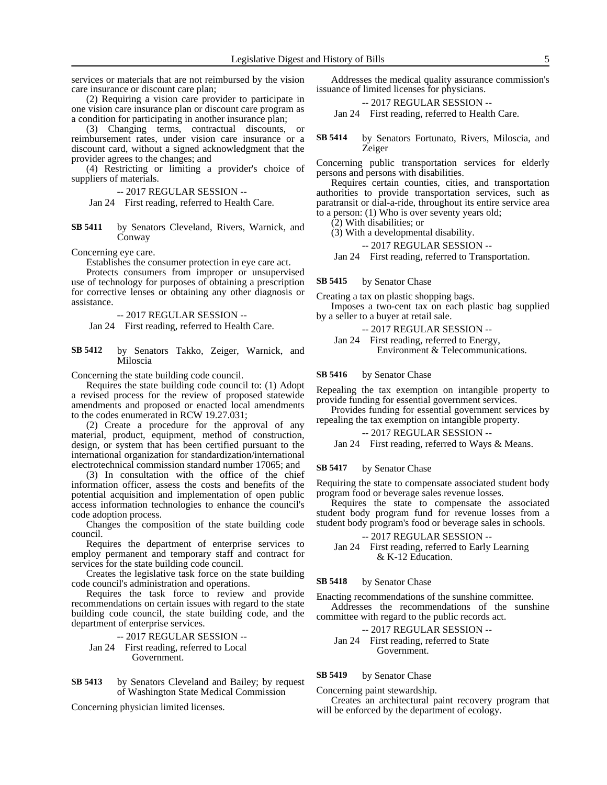services or materials that are not reimbursed by the vision care insurance or discount care plan;

(2) Requiring a vision care provider to participate in one vision care insurance plan or discount care program as a condition for participating in another insurance plan;

(3) Changing terms, contractual discounts, or reimbursement rates, under vision care insurance or a discount card, without a signed acknowledgment that the provider agrees to the changes; and

(4) Restricting or limiting a provider's choice of suppliers of materials.

-- 2017 REGULAR SESSION --

Jan 24 First reading, referred to Health Care.

by Senators Cleveland, Rivers, Warnick, and Conway **SB 5411**

Concerning eye care.

Establishes the consumer protection in eye care act.

Protects consumers from improper or unsupervised use of technology for purposes of obtaining a prescription for corrective lenses or obtaining any other diagnosis or assistance.

-- 2017 REGULAR SESSION --

Jan 24 First reading, referred to Health Care.

by Senators Takko, Zeiger, Warnick, and Miloscia **SB 5412**

Concerning the state building code council.

Requires the state building code council to: (1) Adopt a revised process for the review of proposed statewide amendments and proposed or enacted local amendments to the codes enumerated in RCW 19.27.031;

(2) Create a procedure for the approval of any material, product, equipment, method of construction, design, or system that has been certified pursuant to the international organization for standardization/international electrotechnical commission standard number 17065; and

(3) In consultation with the office of the chief information officer, assess the costs and benefits of the potential acquisition and implementation of open public access information technologies to enhance the council's code adoption process.

Changes the composition of the state building code council.

Requires the department of enterprise services to employ permanent and temporary staff and contract for services for the state building code council.

Creates the legislative task force on the state building code council's administration and operations.

Requires the task force to review and provide recommendations on certain issues with regard to the state building code council, the state building code, and the department of enterprise services.

-- 2017 REGULAR SESSION -- Jan 24 First reading, referred to Local Government.

by Senators Cleveland and Bailey; by request of Washington State Medical Commission **SB 5413**

Concerning physician limited licenses.

Addresses the medical quality assurance commission's issuance of limited licenses for physicians.

-- 2017 REGULAR SESSION --

Jan 24 First reading, referred to Health Care.

by Senators Fortunato, Rivers, Miloscia, and Zeiger **SB 5414**

Concerning public transportation services for elderly persons and persons with disabilities.

Requires certain counties, cities, and transportation authorities to provide transportation services, such as paratransit or dial-a-ride, throughout its entire service area to a person: (1) Who is over seventy years old;

(2) With disabilities; or

(3) With a developmental disability.

-- 2017 REGULAR SESSION --

Jan 24 First reading, referred to Transportation.

by Senator Chase **SB 5415**

Creating a tax on plastic shopping bags.

Imposes a two-cent tax on each plastic bag supplied by a seller to a buyer at retail sale.

-- 2017 REGULAR SESSION --

Jan 24 First reading, referred to Energy, Environment & Telecommunications.

by Senator Chase **SB 5416**

Repealing the tax exemption on intangible property to provide funding for essential government services.

Provides funding for essential government services by repealing the tax exemption on intangible property.

-- 2017 REGULAR SESSION --

Jan 24 First reading, referred to Ways & Means.

#### by Senator Chase **SB 5417**

Requiring the state to compensate associated student body program food or beverage sales revenue losses.

Requires the state to compensate the associated student body program fund for revenue losses from a student body program's food or beverage sales in schools.

-- 2017 REGULAR SESSION --

Jan 24 First reading, referred to Early Learning & K-12 Education.

#### by Senator Chase **SB 5418**

Enacting recommendations of the sunshine committee.

Addresses the recommendations of the sunshine committee with regard to the public records act.

-- 2017 REGULAR SESSION --

Jan 24 First reading, referred to State Government.

#### by Senator Chase **SB 5419**

Concerning paint stewardship.

Creates an architectural paint recovery program that will be enforced by the department of ecology.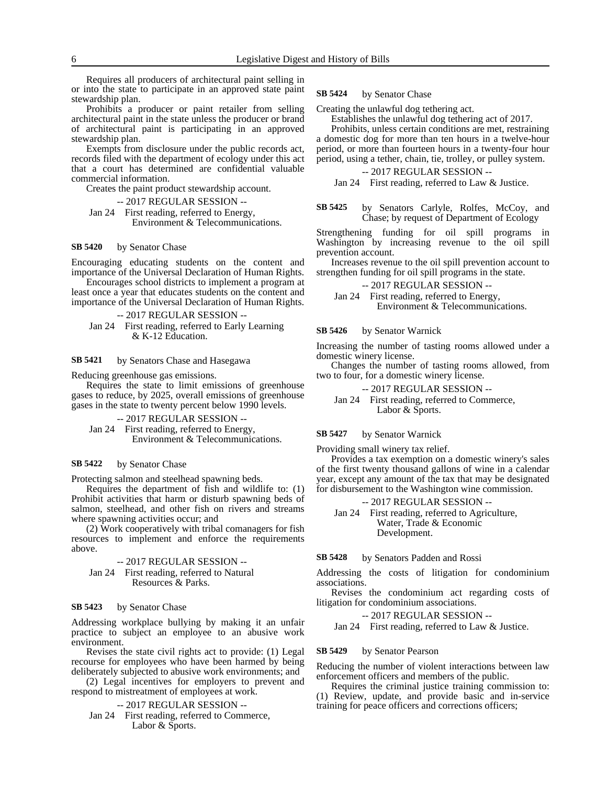Requires all producers of architectural paint selling in or into the state to participate in an approved state paint stewardship plan.

Prohibits a producer or paint retailer from selling architectural paint in the state unless the producer or brand of architectural paint is participating in an approved stewardship plan.

Exempts from disclosure under the public records act, records filed with the department of ecology under this act that a court has determined are confidential valuable commercial information.

Creates the paint product stewardship account.

-- 2017 REGULAR SESSION --

Jan 24 First reading, referred to Energy, Environment & Telecommunications.

#### by Senator Chase **SB 5420**

Encouraging educating students on the content and importance of the Universal Declaration of Human Rights.

Encourages school districts to implement a program at least once a year that educates students on the content and importance of the Universal Declaration of Human Rights.

```
-- 2017 REGULAR SESSION --
Jan 24 First reading, referred to Early Learning 
         & K-12 Education.
```
by Senators Chase and Hasegawa **SB 5421**

Reducing greenhouse gas emissions.

Requires the state to limit emissions of greenhouse gases to reduce, by 2025, overall emissions of greenhouse gases in the state to twenty percent below 1990 levels.

-- 2017 REGULAR SESSION -- Jan 24 First reading, referred to Energy,

Environment & Telecommunications.

#### by Senator Chase **SB 5422**

Protecting salmon and steelhead spawning beds.

Requires the department of fish and wildlife to: (1) Prohibit activities that harm or disturb spawning beds of salmon, steelhead, and other fish on rivers and streams where spawning activities occur; and

(2) Work cooperatively with tribal comanagers for fish resources to implement and enforce the requirements above.

-- 2017 REGULAR SESSION -- Jan 24 First reading, referred to Natural Resources & Parks.

#### by Senator Chase **SB 5423**

Addressing workplace bullying by making it an unfair practice to subject an employee to an abusive work environment.

Revises the state civil rights act to provide: (1) Legal recourse for employees who have been harmed by being deliberately subjected to abusive work environments; and

(2) Legal incentives for employers to prevent and respond to mistreatment of employees at work.

-- 2017 REGULAR SESSION --

Jan 24 First reading, referred to Commerce, Labor & Sports.

#### by Senator Chase **SB 5424**

Creating the unlawful dog tethering act.

Establishes the unlawful dog tethering act of 2017.

Prohibits, unless certain conditions are met, restraining a domestic dog for more than ten hours in a twelve-hour period, or more than fourteen hours in a twenty-four hour period, using a tether, chain, tie, trolley, or pulley system.

-- 2017 REGULAR SESSION --

Jan 24 First reading, referred to Law & Justice.

by Senators Carlyle, Rolfes, McCoy, and Chase; by request of Department of Ecology **SB 5425**

Strengthening funding for oil spill programs in Washington by increasing revenue to the oil spill prevention account.

Increases revenue to the oil spill prevention account to strengthen funding for oil spill programs in the state.

-- 2017 REGULAR SESSION --

Jan 24 First reading, referred to Energy, Environment & Telecommunications.

#### by Senator Warnick **SB 5426**

Increasing the number of tasting rooms allowed under a domestic winery license.

Changes the number of tasting rooms allowed, from two to four, for a domestic winery license.

-- 2017 REGULAR SESSION --

Jan 24 First reading, referred to Commerce, Labor & Sports.

#### by Senator Warnick **SB 5427**

Providing small winery tax relief.

Provides a tax exemption on a domestic winery's sales of the first twenty thousand gallons of wine in a calendar year, except any amount of the tax that may be designated for disbursement to the Washington wine commission.

-- 2017 REGULAR SESSION --

Jan 24 First reading, referred to Agriculture, Water, Trade & Economic Development.

by Senators Padden and Rossi **SB 5428**

Addressing the costs of litigation for condominium associations.

Revises the condominium act regarding costs of litigation for condominium associations.

-- 2017 REGULAR SESSION --

Jan 24 First reading, referred to Law & Justice.

#### by Senator Pearson **SB 5429**

Reducing the number of violent interactions between law enforcement officers and members of the public.

Requires the criminal justice training commission to: (1) Review, update, and provide basic and in-service training for peace officers and corrections officers;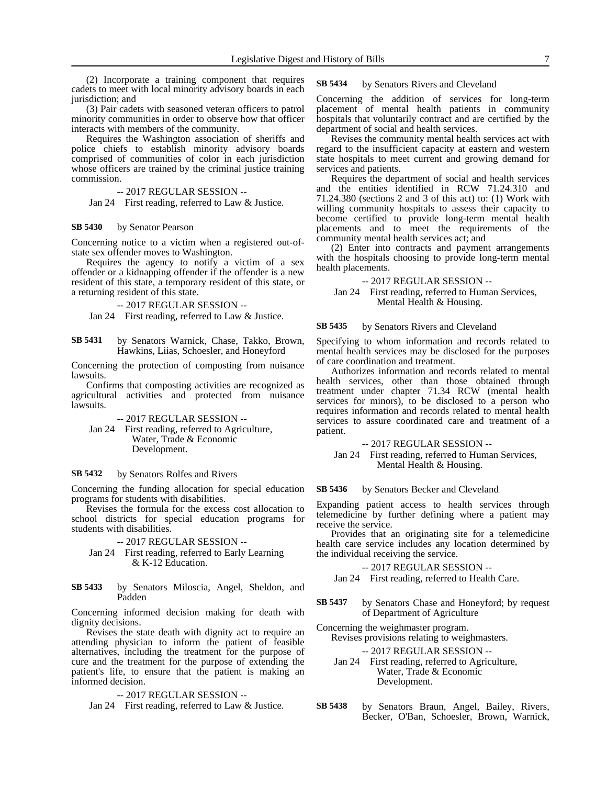(2) Incorporate a training component that requires cadets to meet with local minority advisory boards in each jurisdiction; and

(3) Pair cadets with seasoned veteran officers to patrol minority communities in order to observe how that officer interacts with members of the community.

Requires the Washington association of sheriffs and police chiefs to establish minority advisory boards comprised of communities of color in each jurisdiction whose officers are trained by the criminal justice training commission.

-- 2017 REGULAR SESSION --

Jan 24 First reading, referred to Law & Justice.

#### by Senator Pearson **SB 5430**

Concerning notice to a victim when a registered out-ofstate sex offender moves to Washington.

Requires the agency to notify a victim of a sex offender or a kidnapping offender if the offender is a new resident of this state, a temporary resident of this state, or a returning resident of this state.

-- 2017 REGULAR SESSION --

Jan 24 First reading, referred to Law & Justice.

by Senators Warnick, Chase, Takko, Brown, Hawkins, Liias, Schoesler, and Honeyford **SB 5431**

Concerning the protection of composting from nuisance lawsuits.

Confirms that composting activities are recognized as agricultural activities and protected from nuisance lawsuits.

-- 2017 REGULAR SESSION --

Jan 24 First reading, referred to Agriculture, Water, Trade & Economic Development.

#### by Senators Rolfes and Rivers **SB 5432**

Concerning the funding allocation for special education programs for students with disabilities.

Revises the formula for the excess cost allocation to school districts for special education programs for students with disabilities.

-- 2017 REGULAR SESSION --

- Jan 24 First reading, referred to Early Learning & K-12 Education.
- by Senators Miloscia, Angel, Sheldon, and Padden **SB 5433**

Concerning informed decision making for death with dignity decisions.

Revises the state death with dignity act to require an attending physician to inform the patient of feasible alternatives, including the treatment for the purpose of cure and the treatment for the purpose of extending the patient's life, to ensure that the patient is making an informed decision.

-- 2017 REGULAR SESSION --

Jan 24 First reading, referred to Law & Justice.

#### by Senators Rivers and Cleveland **SB 5434**

Concerning the addition of services for long-term placement of mental health patients in community hospitals that voluntarily contract and are certified by the department of social and health services.

Revises the community mental health services act with regard to the insufficient capacity at eastern and western state hospitals to meet current and growing demand for services and patients.

Requires the department of social and health services and the entities identified in RCW 71.24.310 and 71.24.380 (sections 2 and 3 of this act) to: (1) Work with willing community hospitals to assess their capacity to become certified to provide long-term mental health placements and to meet the requirements of the community mental health services act; and

(2) Enter into contracts and payment arrangements with the hospitals choosing to provide long-term mental health placements.

-- 2017 REGULAR SESSION --

Jan 24 First reading, referred to Human Services, Mental Health & Housing.

by Senators Rivers and Cleveland **SB 5435**

Specifying to whom information and records related to mental health services may be disclosed for the purposes of care coordination and treatment.

Authorizes information and records related to mental health services, other than those obtained through treatment under chapter 71.34 RCW (mental health services for minors), to be disclosed to a person who requires information and records related to mental health services to assure coordinated care and treatment of a patient.

-- 2017 REGULAR SESSION --

Jan 24 First reading, referred to Human Services, Mental Health & Housing.

#### by Senators Becker and Cleveland **SB 5436**

Expanding patient access to health services through telemedicine by further defining where a patient may receive the service.

Provides that an originating site for a telemedicine health care service includes any location determined by the individual receiving the service.

-- 2017 REGULAR SESSION --

Jan 24 First reading, referred to Health Care.

by Senators Chase and Honeyford; by request of Department of Agriculture **SB 5437**

Concerning the weighmaster program.

Revises provisions relating to weighmasters.

-- 2017 REGULAR SESSION --

- Jan 24 First reading, referred to Agriculture, Water, Trade & Economic Development.
- by Senators Braun, Angel, Bailey, Rivers, Becker, O'Ban, Schoesler, Brown, Warnick, **SB 5438**